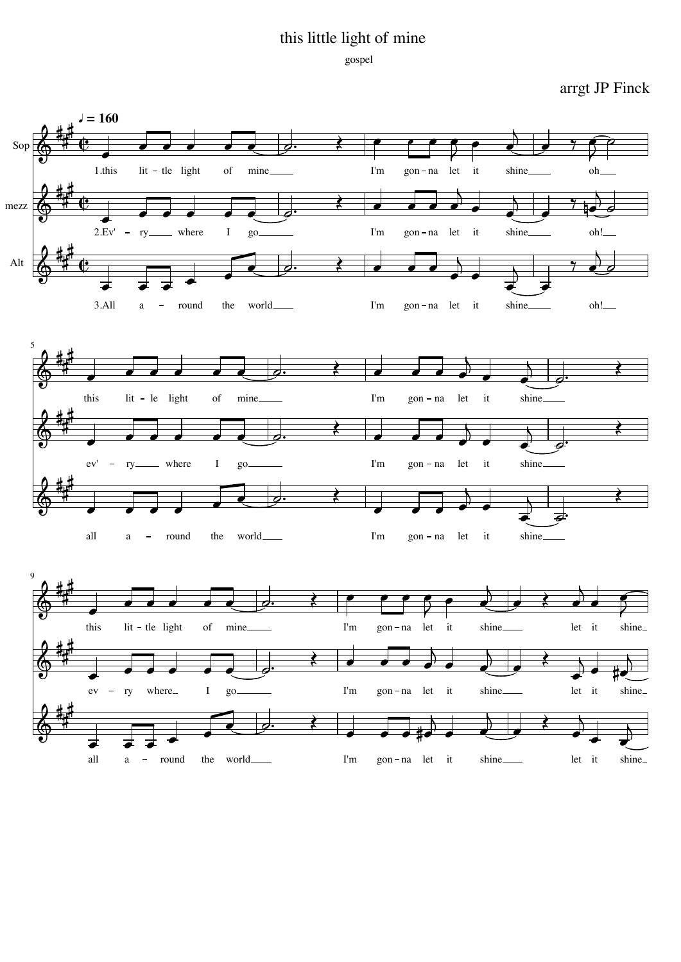## this little light of mine

## gospel

arrgt JP Finck